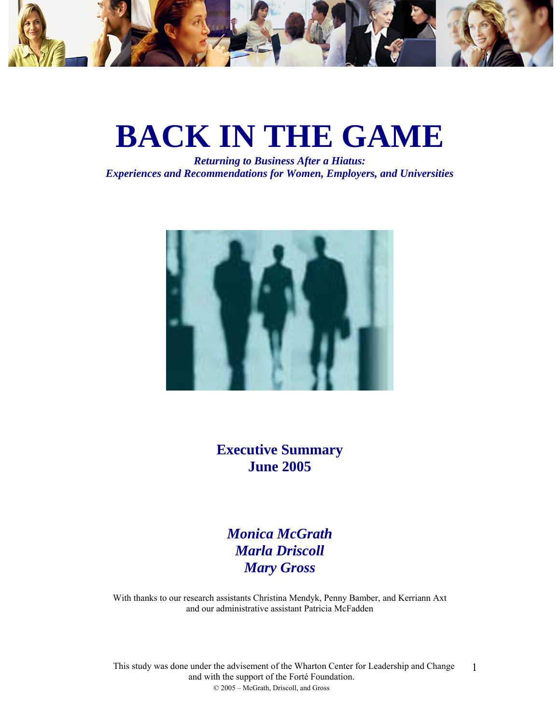

# **BACK IN THE GAME**

*Returning to Business After a Hiatus: Experiences and Recommendations for Women, Employers, and Universities* 



**Executive Summary June 2005** 

*Monica McGrath Marla Driscoll Mary Gross* 

With thanks to our research assistants Christina Mendyk, Penny Bamber, and Kerriann Axt and our administrative assistant Patricia McFadden

This study was done under the advisement of the Wharton Center for Leadership and Change and with the support of the Forté Foundation. © 2005 – McGrath, Driscoll, and Gross 1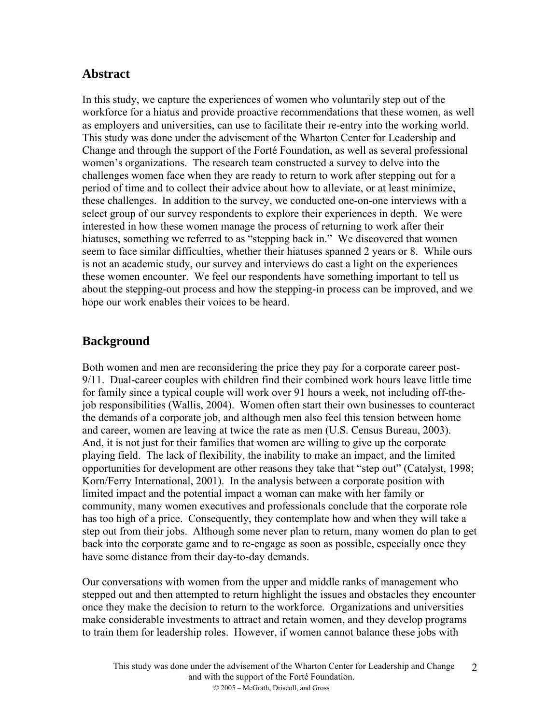# **Abstract**

In this study, we capture the experiences of women who voluntarily step out of the workforce for a hiatus and provide proactive recommendations that these women, as well as employers and universities, can use to facilitate their re-entry into the working world. This study was done under the advisement of the Wharton Center for Leadership and Change and through the support of the Forté Foundation, as well as several professional women's organizations. The research team constructed a survey to delve into the challenges women face when they are ready to return to work after stepping out for a period of time and to collect their advice about how to alleviate, or at least minimize, these challenges. In addition to the survey, we conducted one-on-one interviews with a select group of our survey respondents to explore their experiences in depth. We were interested in how these women manage the process of returning to work after their hiatuses, something we referred to as "stepping back in." We discovered that women seem to face similar difficulties, whether their hiatuses spanned 2 years or 8. While ours is not an academic study, our survey and interviews do cast a light on the experiences these women encounter. We feel our respondents have something important to tell us about the stepping-out process and how the stepping-in process can be improved, and we hope our work enables their voices to be heard.

# **Background**

Both women and men are reconsidering the price they pay for a corporate career post-9/11. Dual-career couples with children find their combined work hours leave little time for family since a typical couple will work over 91 hours a week, not including off-thejob responsibilities (Wallis, 2004). Women often start their own businesses to counteract the demands of a corporate job, and although men also feel this tension between home and career, women are leaving at twice the rate as men (U.S. Census Bureau, 2003). And, it is not just for their families that women are willing to give up the corporate playing field. The lack of flexibility, the inability to make an impact, and the limited opportunities for development are other reasons they take that "step out" (Catalyst, 1998; Korn/Ferry International, 2001). In the analysis between a corporate position with limited impact and the potential impact a woman can make with her family or community, many women executives and professionals conclude that the corporate role has too high of a price. Consequently, they contemplate how and when they will take a step out from their jobs. Although some never plan to return, many women do plan to get back into the corporate game and to re-engage as soon as possible, especially once they have some distance from their day-to-day demands.

Our conversations with women from the upper and middle ranks of management who stepped out and then attempted to return highlight the issues and obstacles they encounter once they make the decision to return to the workforce. Organizations and universities make considerable investments to attract and retain women, and they develop programs to train them for leadership roles. However, if women cannot balance these jobs with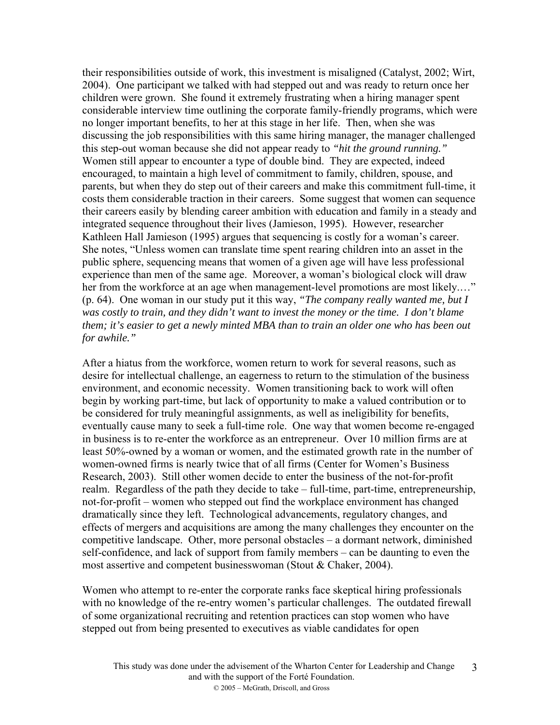their responsibilities outside of work, this investment is misaligned (Catalyst, 2002; Wirt, 2004). One participant we talked with had stepped out and was ready to return once her children were grown. She found it extremely frustrating when a hiring manager spent considerable interview time outlining the corporate family-friendly programs, which were no longer important benefits, to her at this stage in her life. Then, when she was discussing the job responsibilities with this same hiring manager, the manager challenged this step-out woman because she did not appear ready to *"hit the ground running."* Women still appear to encounter a type of double bind. They are expected, indeed encouraged, to maintain a high level of commitment to family, children, spouse, and parents, but when they do step out of their careers and make this commitment full-time, it costs them considerable traction in their careers. Some suggest that women can sequence their careers easily by blending career ambition with education and family in a steady and integrated sequence throughout their lives (Jamieson, 1995). However, researcher Kathleen Hall Jamieson (1995) argues that sequencing is costly for a woman's career. She notes, "Unless women can translate time spent rearing children into an asset in the public sphere, sequencing means that women of a given age will have less professional experience than men of the same age. Moreover, a woman's biological clock will draw her from the workforce at an age when management-level promotions are most likely...." (p. 64). One woman in our study put it this way, *"The company really wanted me, but I was costly to train, and they didn't want to invest the money or the time. I don't blame them; it's easier to get a newly minted MBA than to train an older one who has been out for awhile."*

After a hiatus from the workforce, women return to work for several reasons, such as desire for intellectual challenge, an eagerness to return to the stimulation of the business environment, and economic necessity. Women transitioning back to work will often begin by working part-time, but lack of opportunity to make a valued contribution or to be considered for truly meaningful assignments, as well as ineligibility for benefits, eventually cause many to seek a full-time role. One way that women become re-engaged in business is to re-enter the workforce as an entrepreneur. Over 10 million firms are at least 50%-owned by a woman or women, and the estimated growth rate in the number of women-owned firms is nearly twice that of all firms (Center for Women's Business Research, 2003). Still other women decide to enter the business of the not-for-profit realm. Regardless of the path they decide to take – full-time, part-time, entrepreneurship, not-for-profit – women who stepped out find the workplace environment has changed dramatically since they left. Technological advancements, regulatory changes, and effects of mergers and acquisitions are among the many challenges they encounter on the competitive landscape. Other, more personal obstacles – a dormant network, diminished self-confidence, and lack of support from family members – can be daunting to even the most assertive and competent businesswoman (Stout & Chaker, 2004).

Women who attempt to re-enter the corporate ranks face skeptical hiring professionals with no knowledge of the re-entry women's particular challenges. The outdated firewall of some organizational recruiting and retention practices can stop women who have stepped out from being presented to executives as viable candidates for open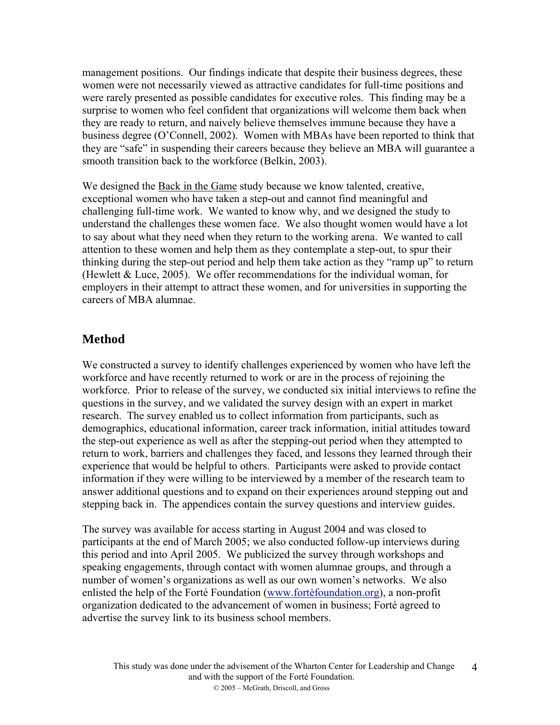management positions. Our findings indicate that despite their business degrees, these women were not necessarily viewed as attractive candidates for full-time positions and were rarely presented as possible candidates for executive roles. This finding may be a surprise to women who feel confident that organizations will welcome them back when they are ready to return, and naively believe themselves immune because they have a business degree (O'Connell, 2002). Women with MBAs have been reported to think that they are "safe" in suspending their careers because they believe an MBA will guarantee a smooth transition back to the workforce (Belkin, 2003).

We designed the Back in the Game study because we know talented, creative, exceptional women who have taken a step-out and cannot find meaningful and challenging full-time work. We wanted to know why, and we designed the study to understand the challenges these women face. We also thought women would have a lot to say about what they need when they return to the working arena. We wanted to call attention to these women and help them as they contemplate a step-out, to spur their thinking during the step-out period and help them take action as they "ramp up" to return (Hewlett & Luce, 2005). We offer recommendations for the individual woman, for employers in their attempt to attract these women, and for universities in supporting the careers of MBA alumnae.

# **Method**

We constructed a survey to identify challenges experienced by women who have left the workforce and have recently returned to work or are in the process of rejoining the workforce. Prior to release of the survey, we conducted six initial interviews to refine the questions in the survey, and we validated the survey design with an expert in market research. The survey enabled us to collect information from participants, such as demographics, educational information, career track information, initial attitudes toward the step-out experience as well as after the stepping-out period when they attempted to return to work, barriers and challenges they faced, and lessons they learned through their experience that would be helpful to others. Participants were asked to provide contact information if they were willing to be interviewed by a member of the research team to answer additional questions and to expand on their experiences around stepping out and stepping back in. The appendices contain the survey questions and interview guides.

The survey was available for access starting in August 2004 and was closed to participants at the end of March 2005; we also conducted follow-up interviews during this period and into April 2005. We publicized the survey through workshops and speaking engagements, through contact with women alumnae groups, and through a number of women's organizations as well as our own women's networks. We also enlisted the help of the Forté Foundation (www.fortė[foundation.org\)](http://www.fortefoundation.org/), a non-profit organization dedicated to the advancement of women in business; Forté agreed to advertise the survey link to its business school members.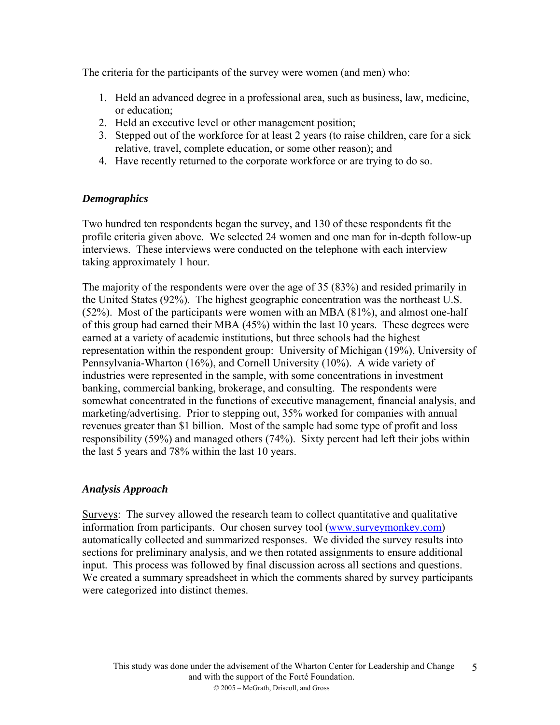The criteria for the participants of the survey were women (and men) who:

- 1. Held an advanced degree in a professional area, such as business, law, medicine, or education;
- 2. Held an executive level or other management position;
- 3. Stepped out of the workforce for at least 2 years (to raise children, care for a sick relative, travel, complete education, or some other reason); and
- 4. Have recently returned to the corporate workforce or are trying to do so.

# *Demographics*

Two hundred ten respondents began the survey, and 130 of these respondents fit the profile criteria given above. We selected 24 women and one man for in-depth follow-up interviews. These interviews were conducted on the telephone with each interview taking approximately 1 hour.

The majority of the respondents were over the age of 35 (83%) and resided primarily in the United States (92%). The highest geographic concentration was the northeast U.S. (52%). Most of the participants were women with an MBA (81%), and almost one-half of this group had earned their MBA (45%) within the last 10 years. These degrees were earned at a variety of academic institutions, but three schools had the highest representation within the respondent group: University of Michigan (19%), University of Pennsylvania-Wharton (16%), and Cornell University (10%). A wide variety of industries were represented in the sample, with some concentrations in investment banking, commercial banking, brokerage, and consulting. The respondents were somewhat concentrated in the functions of executive management, financial analysis, and marketing/advertising. Prior to stepping out, 35% worked for companies with annual revenues greater than \$1 billion. Most of the sample had some type of profit and loss responsibility (59%) and managed others (74%). Sixty percent had left their jobs within the last 5 years and 78% within the last 10 years.

# *Analysis Approach*

Surveys: The survey allowed the research team to collect quantitative and qualitative information from participants. Our chosen survey tool ([www.surveymonkey.com\)](http://www.surveymonkey.com/) automatically collected and summarized responses. We divided the survey results into sections for preliminary analysis, and we then rotated assignments to ensure additional input. This process was followed by final discussion across all sections and questions. We created a summary spreadsheet in which the comments shared by survey participants were categorized into distinct themes.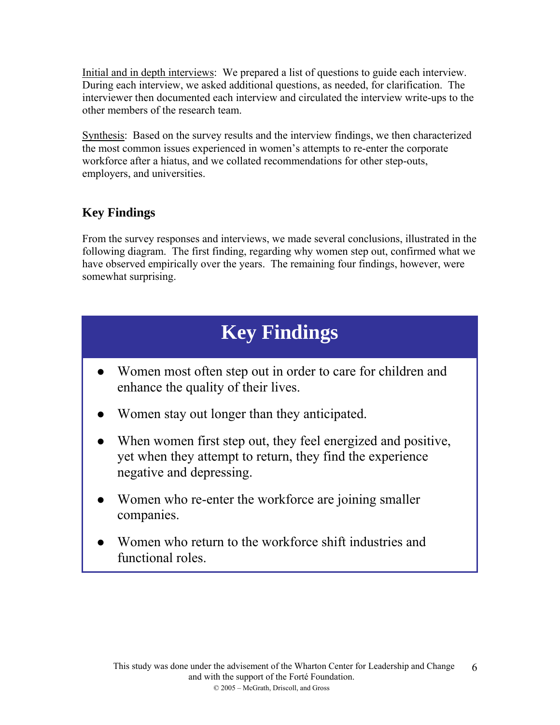Initial and in depth interviews: We prepared a list of questions to guide each interview. During each interview, we asked additional questions, as needed, for clarification. The interviewer then documented each interview and circulated the interview write-ups to the other members of the research team.

Synthesis: Based on the survey results and the interview findings, we then characterized the most common issues experienced in women's attempts to re-enter the corporate workforce after a hiatus, and we collated recommendations for other step-outs, employers, and universities.

# **Key Findings**

From the survey responses and interviews, we made several conclusions, illustrated in the following diagram. The first finding, regarding why women step out, confirmed what we have observed empirically over the years. The remaining four findings, however, were somewhat surprising.

# **Key Findings**

- Women most often step out in order to care for children and enhance the quality of their lives.
- Women stay out longer than they anticipated.
- When women first step out, they feel energized and positive, yet when they attempt to return, they find the experience negative and depressing.
- Women who re-enter the workforce are joining smaller companies.
- Women who return to the workforce shift industries and functional roles.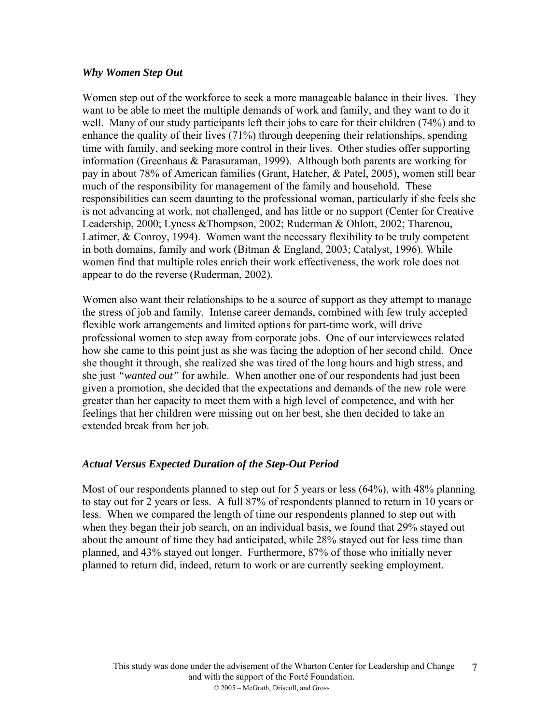### *Why Women Step Out*

Women step out of the workforce to seek a more manageable balance in their lives. They want to be able to meet the multiple demands of work and family, and they want to do it well. Many of our study participants left their jobs to care for their children (74%) and to enhance the quality of their lives (71%) through deepening their relationships, spending time with family, and seeking more control in their lives. Other studies offer supporting information (Greenhaus & Parasuraman, 1999). Although both parents are working for pay in about 78% of American families (Grant, Hatcher, & Patel, 2005), women still bear much of the responsibility for management of the family and household. These responsibilities can seem daunting to the professional woman, particularly if she feels she is not advancing at work, not challenged, and has little or no support (Center for Creative Leadership, 2000; Lyness &Thompson, 2002; Ruderman & Ohlott, 2002; Tharenou, Latimer, & Conroy, 1994). Women want the necessary flexibility to be truly competent in both domains, family and work (Bitman & England, 2003; Catalyst, 1996). While women find that multiple roles enrich their work effectiveness, the work role does not appear to do the reverse (Ruderman, 2002).

Women also want their relationships to be a source of support as they attempt to manage the stress of job and family. Intense career demands, combined with few truly accepted flexible work arrangements and limited options for part-time work, will drive professional women to step away from corporate jobs. One of our interviewees related how she came to this point just as she was facing the adoption of her second child. Once she thought it through, she realized she was tired of the long hours and high stress, and she just *"wanted out"* for awhile. When another one of our respondents had just been given a promotion, she decided that the expectations and demands of the new role were greater than her capacity to meet them with a high level of competence, and with her feelings that her children were missing out on her best, she then decided to take an extended break from her job.

# *Actual Versus Expected Duration of the Step-Out Period*

Most of our respondents planned to step out for 5 years or less (64%), with 48% planning to stay out for 2 years or less. A full 87% of respondents planned to return in 10 years or less. When we compared the length of time our respondents planned to step out with when they began their job search, on an individual basis, we found that 29% stayed out about the amount of time they had anticipated, while 28% stayed out for less time than planned, and 43% stayed out longer. Furthermore, 87% of those who initially never planned to return did, indeed, return to work or are currently seeking employment.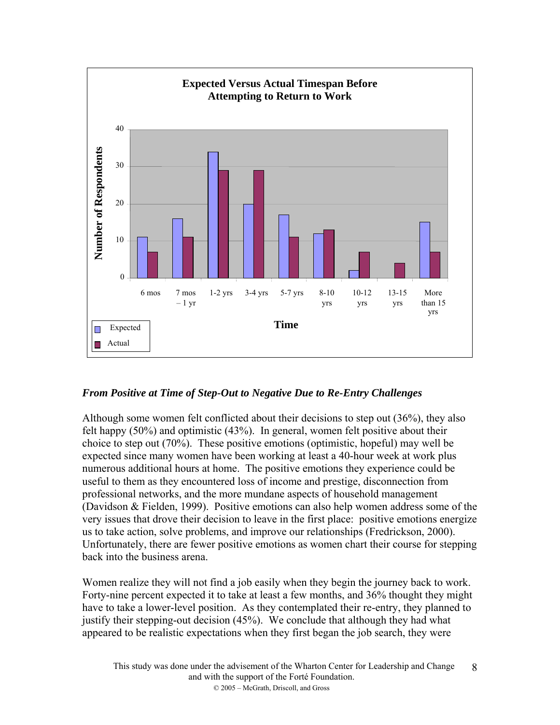

# *From Positive at Time of Step-Out to Negative Due to Re-Entry Challenges*

Although some women felt conflicted about their decisions to step out (36%), they also felt happy (50%) and optimistic (43%). In general, women felt positive about their choice to step out (70%). These positive emotions (optimistic, hopeful) may well be expected since many women have been working at least a 40-hour week at work plus numerous additional hours at home. The positive emotions they experience could be useful to them as they encountered loss of income and prestige, disconnection from professional networks, and the more mundane aspects of household management (Davidson & Fielden, 1999). Positive emotions can also help women address some of the very issues that drove their decision to leave in the first place: positive emotions energize us to take action, solve problems, and improve our relationships (Fredrickson, 2000). Unfortunately, there are fewer positive emotions as women chart their course for stepping back into the business arena.

Women realize they will not find a job easily when they begin the journey back to work. Forty-nine percent expected it to take at least a few months, and 36% thought they might have to take a lower-level position. As they contemplated their re-entry, they planned to justify their stepping-out decision (45%). We conclude that although they had what appeared to be realistic expectations when they first began the job search, they were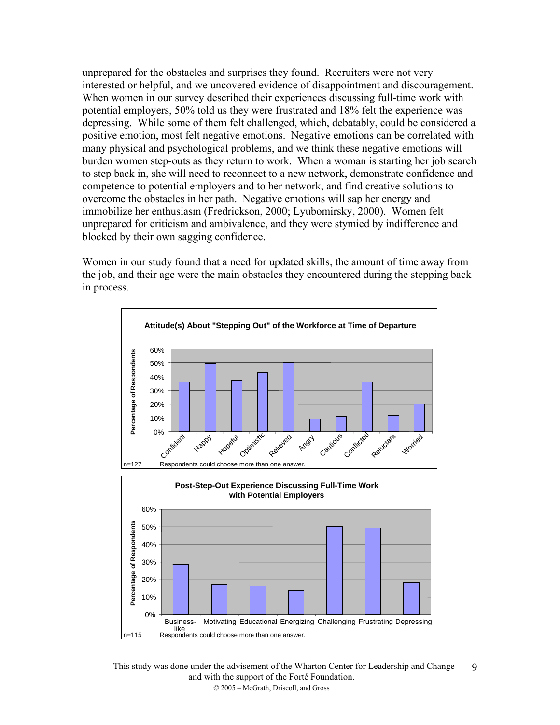unprepared for the obstacles and surprises they found. Recruiters were not very interested or helpful, and we uncovered evidence of disappointment and discouragement. When women in our survey described their experiences discussing full-time work with potential employers, 50% told us they were frustrated and 18% felt the experience was depressing. While some of them felt challenged, which, debatably, could be considered a positive emotion, most felt negative emotions. Negative emotions can be correlated with many physical and psychological problems, and we think these negative emotions will burden women step-outs as they return to work. When a woman is starting her job search to step back in, she will need to reconnect to a new network, demonstrate confidence and competence to potential employers and to her network, and find creative solutions to overcome the obstacles in her path. Negative emotions will sap her energy and immobilize her enthusiasm (Fredrickson, 2000; Lyubomirsky, 2000). Women felt unprepared for criticism and ambivalence, and they were stymied by indifference and blocked by their own sagging confidence.

Women in our study found that a need for updated skills, the amount of time away from the job, and their age were the main obstacles they encountered during the stepping back in process.



This study was done under the advisement of the Wharton Center for Leadership and Change and with the support of the Forté Foundation. © 2005 – McGrath, Driscoll, and Gross 9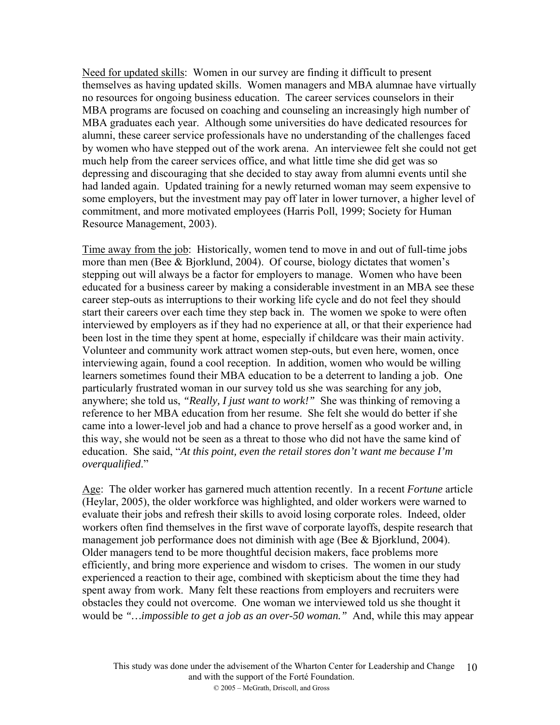Need for updated skills: Women in our survey are finding it difficult to present themselves as having updated skills. Women managers and MBA alumnae have virtually no resources for ongoing business education. The career services counselors in their MBA programs are focused on coaching and counseling an increasingly high number of MBA graduates each year. Although some universities do have dedicated resources for alumni, these career service professionals have no understanding of the challenges faced by women who have stepped out of the work arena. An interviewee felt she could not get much help from the career services office, and what little time she did get was so depressing and discouraging that she decided to stay away from alumni events until she had landed again. Updated training for a newly returned woman may seem expensive to some employers, but the investment may pay off later in lower turnover, a higher level of commitment, and more motivated employees (Harris Poll, 1999; Society for Human Resource Management, 2003).

Time away from the job: Historically, women tend to move in and out of full-time jobs more than men (Bee & Bjorklund, 2004). Of course, biology dictates that women's stepping out will always be a factor for employers to manage. Women who have been educated for a business career by making a considerable investment in an MBA see these career step-outs as interruptions to their working life cycle and do not feel they should start their careers over each time they step back in. The women we spoke to were often interviewed by employers as if they had no experience at all, or that their experience had been lost in the time they spent at home, especially if childcare was their main activity. Volunteer and community work attract women step-outs, but even here, women, once interviewing again, found a cool reception. In addition, women who would be willing learners sometimes found their MBA education to be a deterrent to landing a job. One particularly frustrated woman in our survey told us she was searching for any job, anywhere; she told us, *"Really, I just want to work!"* She was thinking of removing a reference to her MBA education from her resume. She felt she would do better if she came into a lower-level job and had a chance to prove herself as a good worker and, in this way, she would not be seen as a threat to those who did not have the same kind of education. She said, "*At this point, even the retail stores don't want me because I'm overqualified*."

Age: The older worker has garnered much attention recently. In a recent *Fortune* article (Heylar, 2005), the older workforce was highlighted, and older workers were warned to evaluate their jobs and refresh their skills to avoid losing corporate roles. Indeed, older workers often find themselves in the first wave of corporate layoffs, despite research that management job performance does not diminish with age (Bee  $\&$  Bjorklund, 2004). Older managers tend to be more thoughtful decision makers, face problems more efficiently, and bring more experience and wisdom to crises. The women in our study experienced a reaction to their age, combined with skepticism about the time they had spent away from work. Many felt these reactions from employers and recruiters were obstacles they could not overcome. One woman we interviewed told us she thought it would be *"…impossible to get a job as an over-50 woman."* And, while this may appear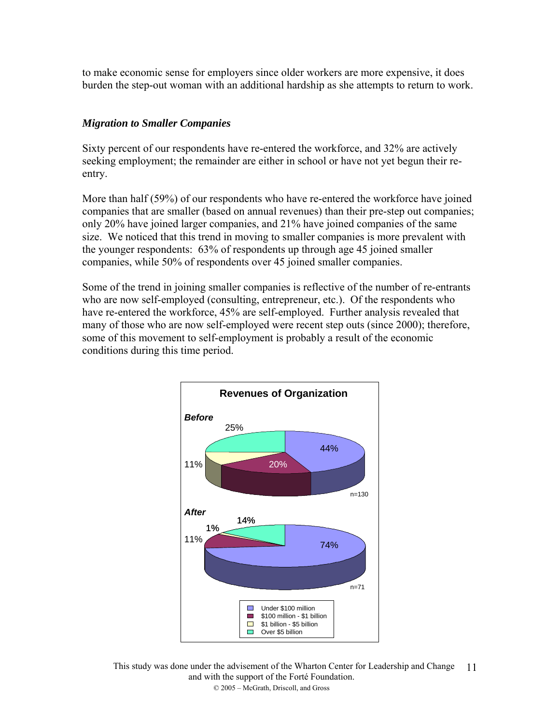to make economic sense for employers since older workers are more expensive, it does burden the step-out woman with an additional hardship as she attempts to return to work.

# *Migration to Smaller Companies*

Sixty percent of our respondents have re-entered the workforce, and 32% are actively seeking employment; the remainder are either in school or have not yet begun their reentry.

More than half (59%) of our respondents who have re-entered the workforce have joined companies that are smaller (based on annual revenues) than their pre-step out companies; only 20% have joined larger companies, and 21% have joined companies of the same size. We noticed that this trend in moving to smaller companies is more prevalent with the younger respondents: 63% of respondents up through age 45 joined smaller companies, while 50% of respondents over 45 joined smaller companies.

Some of the trend in joining smaller companies is reflective of the number of re-entrants who are now self-employed (consulting, entrepreneur, etc.). Of the respondents who have re-entered the workforce, 45% are self-employed. Further analysis revealed that many of those who are now self-employed were recent step outs (since 2000); therefore, some of this movement to self-employment is probably a result of the economic conditions during this time period.



This study was done under the advisement of the Wharton Center for Leadership and Change 11and with the support of the Forté Foundation. © 2005 – McGrath, Driscoll, and Gross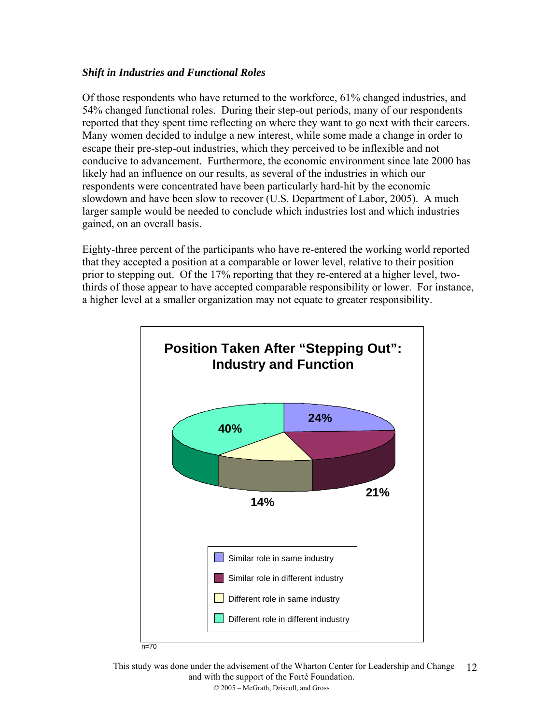# *Shift in Industries and Functional Roles*

Of those respondents who have returned to the workforce, 61% changed industries, and 54% changed functional roles. During their step-out periods, many of our respondents reported that they spent time reflecting on where they want to go next with their careers. Many women decided to indulge a new interest, while some made a change in order to escape their pre-step-out industries, which they perceived to be inflexible and not conducive to advancement. Furthermore, the economic environment since late 2000 has likely had an influence on our results, as several of the industries in which our respondents were concentrated have been particularly hard-hit by the economic slowdown and have been slow to recover (U.S. Department of Labor, 2005). A much larger sample would be needed to conclude which industries lost and which industries gained, on an overall basis.

Eighty-three percent of the participants who have re-entered the working world reported that they accepted a position at a comparable or lower level, relative to their position prior to stepping out. Of the 17% reporting that they re-entered at a higher level, twothirds of those appear to have accepted comparable responsibility or lower. For instance, a higher level at a smaller organization may not equate to greater responsibility.



This study was done under the advisement of the Wharton Center for Leadership and Change 12and with the support of the Forté Foundation. © 2005 – McGrath, Driscoll, and Gross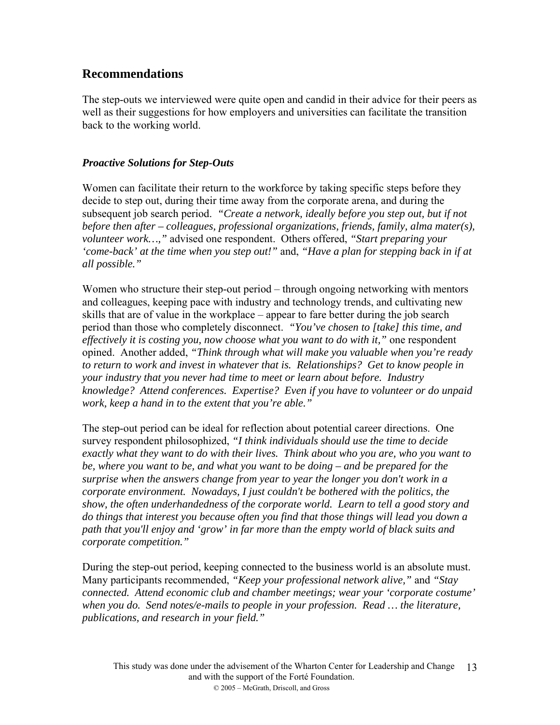# **Recommendations**

The step-outs we interviewed were quite open and candid in their advice for their peers as well as their suggestions for how employers and universities can facilitate the transition back to the working world.

# *Proactive Solutions for Step-Outs*

Women can facilitate their return to the workforce by taking specific steps before they decide to step out, during their time away from the corporate arena, and during the subsequent job search period. *"Create a network, ideally before you step out, but if not before then after – colleagues, professional organizations, friends, family, alma mater(s), volunteer work…,"* advised one respondent. Others offered, *"Start preparing your 'come-back' at the time when you step out!"* and, *"Have a plan for stepping back in if at all possible."*

Women who structure their step-out period – through ongoing networking with mentors and colleagues, keeping pace with industry and technology trends, and cultivating new skills that are of value in the workplace – appear to fare better during the job search period than those who completely disconnect. *"You've chosen to [take] this time, and effectively it is costing you, now choose what you want to do with it,"* one respondent opined. Another added, *"Think through what will make you valuable when you're ready to return to work and invest in whatever that is. Relationships? Get to know people in your industry that you never had time to meet or learn about before. Industry knowledge? Attend conferences. Expertise? Even if you have to volunteer or do unpaid work, keep a hand in to the extent that you're able."*

The step-out period can be ideal for reflection about potential career directions. One survey respondent philosophized, *"I think individuals should use the time to decide exactly what they want to do with their lives. Think about who you are, who you want to be, where you want to be, and what you want to be doing – and be prepared for the surprise when the answers change from year to year the longer you don't work in a corporate environment. Nowadays, I just couldn't be bothered with the politics, the show, the often underhandedness of the corporate world. Learn to tell a good story and do things that interest you because often you find that those things will lead you down a path that you'll enjoy and 'grow' in far more than the empty world of black suits and corporate competition."*

During the step-out period, keeping connected to the business world is an absolute must. Many participants recommended, *"Keep your professional network alive,"* and *"Stay connected. Attend economic club and chamber meetings; wear your 'corporate costume' when you do. Send notes/e-mails to people in your profession. Read … the literature, publications, and research in your field."*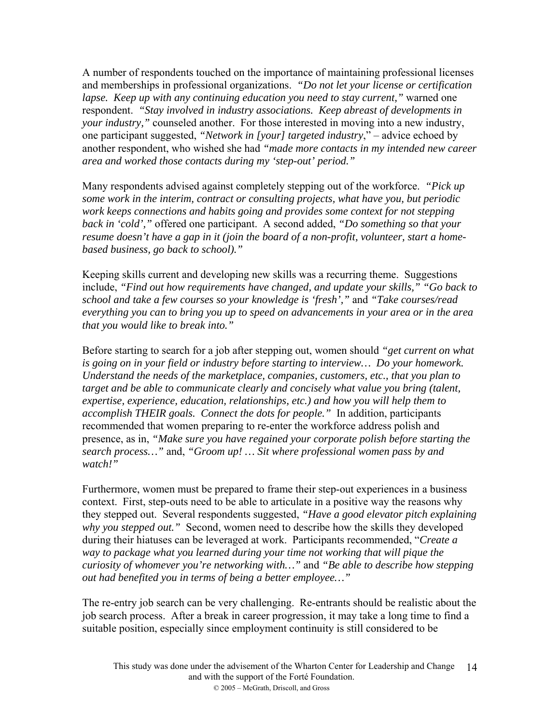A number of respondents touched on the importance of maintaining professional licenses and memberships in professional organizations. *"Do not let your license or certification lapse. Keep up with any continuing education you need to stay current,"* warned one respondent. *"Stay involved in industry associations. Keep abreast of developments in your industry,"* counseled another. For those interested in moving into a new industry, one participant suggested, *"Network in [your] targeted industry*," – advice echoed by another respondent, who wished she had *"made more contacts in my intended new career area and worked those contacts during my 'step-out' period."*

Many respondents advised against completely stepping out of the workforce. *"Pick up some work in the interim, contract or consulting projects, what have you, but periodic work keeps connections and habits going and provides some context for not stepping back in 'cold',"* offered one participant. A second added, *"Do something so that your resume doesn't have a gap in it (join the board of a non-profit, volunteer, start a homebased business, go back to school)."*

Keeping skills current and developing new skills was a recurring theme. Suggestions include, *"Find out how requirements have changed, and update your skills," "Go back to school and take a few courses so your knowledge is 'fresh',"* and *"Take courses/read everything you can to bring you up to speed on advancements in your area or in the area that you would like to break into."*

Before starting to search for a job after stepping out, women should *"get current on what is going on in your field or industry before starting to interview… Do your homework. Understand the needs of the marketplace, companies, customers, etc., that you plan to target and be able to communicate clearly and concisely what value you bring (talent, expertise, experience, education, relationships, etc.) and how you will help them to accomplish THEIR goals. Connect the dots for people."* In addition, participants recommended that women preparing to re-enter the workforce address polish and presence, as in, *"Make sure you have regained your corporate polish before starting the search process…"* and, *"Groom up! … Sit where professional women pass by and watch!"*

Furthermore, women must be prepared to frame their step-out experiences in a business context. First, step-outs need to be able to articulate in a positive way the reasons why they stepped out. Several respondents suggested, *"Have a good elevator pitch explaining why you stepped out."* Second, women need to describe how the skills they developed during their hiatuses can be leveraged at work. Participants recommended, "*Create a way to package what you learned during your time not working that will pique the curiosity of whomever you're networking with…"* and *"Be able to describe how stepping out had benefited you in terms of being a better employee…"*

The re-entry job search can be very challenging. Re-entrants should be realistic about the job search process. After a break in career progression, it may take a long time to find a suitable position, especially since employment continuity is still considered to be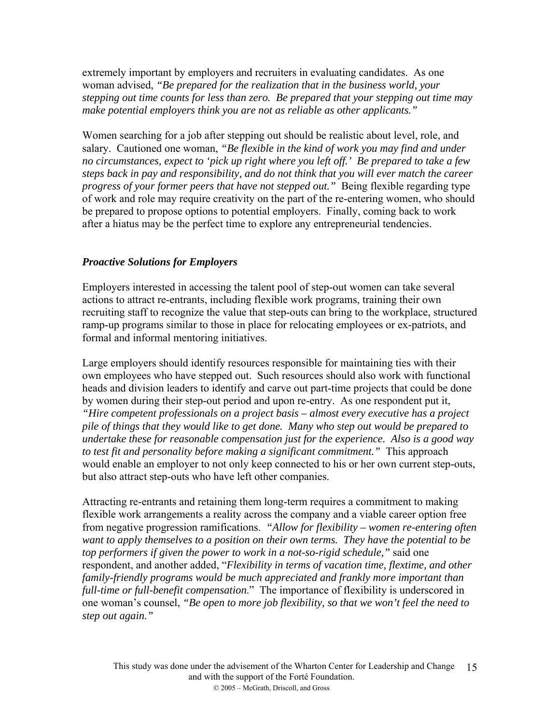extremely important by employers and recruiters in evaluating candidates. As one woman advised, *"Be prepared for the realization that in the business world, your stepping out time counts for less than zero. Be prepared that your stepping out time may make potential employers think you are not as reliable as other applicants."*

Women searching for a job after stepping out should be realistic about level, role, and salary. Cautioned one woman, *"Be flexible in the kind of work you may find and under no circumstances, expect to 'pick up right where you left off.' Be prepared to take a few steps back in pay and responsibility, and do not think that you will ever match the career progress of your former peers that have not stepped out."* Being flexible regarding type of work and role may require creativity on the part of the re-entering women, who should be prepared to propose options to potential employers. Finally, coming back to work after a hiatus may be the perfect time to explore any entrepreneurial tendencies.

### *Proactive Solutions for Employers*

Employers interested in accessing the talent pool of step-out women can take several actions to attract re-entrants, including flexible work programs, training their own recruiting staff to recognize the value that step-outs can bring to the workplace, structured ramp-up programs similar to those in place for relocating employees or ex-patriots, and formal and informal mentoring initiatives.

Large employers should identify resources responsible for maintaining ties with their own employees who have stepped out. Such resources should also work with functional heads and division leaders to identify and carve out part-time projects that could be done by women during their step-out period and upon re-entry. As one respondent put it, *"Hire competent professionals on a project basis – almost every executive has a project pile of things that they would like to get done. Many who step out would be prepared to undertake these for reasonable compensation just for the experience. Also is a good way to test fit and personality before making a significant commitment."* This approach would enable an employer to not only keep connected to his or her own current step-outs, but also attract step-outs who have left other companies.

Attracting re-entrants and retaining them long-term requires a commitment to making flexible work arrangements a reality across the company and a viable career option free from negative progression ramifications. *"Allow for flexibility – women re-entering often want to apply themselves to a position on their own terms. They have the potential to be top performers if given the power to work in a not-so-rigid schedule,"* said one respondent, and another added, "*Flexibility in terms of vacation time, flextime, and other family-friendly programs would be much appreciated and frankly more important than full-time or full-benefit compensation*." The importance of flexibility is underscored in one woman's counsel, *"Be open to more job flexibility, so that we won't feel the need to step out again."*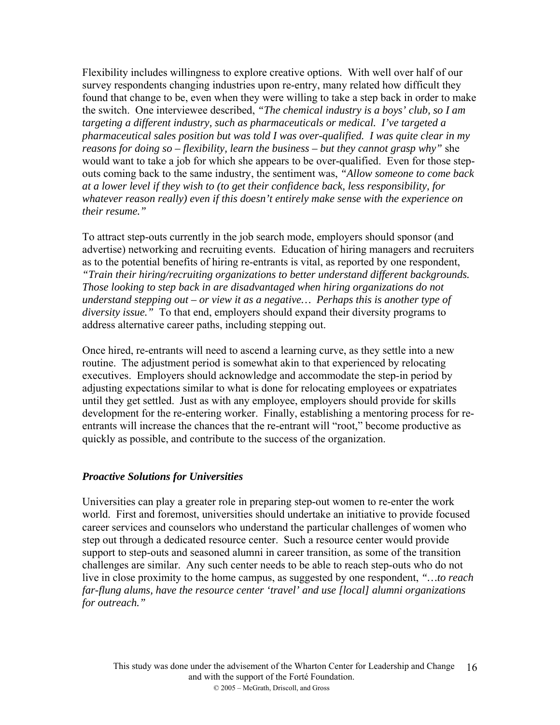Flexibility includes willingness to explore creative options. With well over half of our survey respondents changing industries upon re-entry, many related how difficult they found that change to be, even when they were willing to take a step back in order to make the switch. One interviewee described, *"The chemical industry is a boys' club, so I am targeting a different industry, such as pharmaceuticals or medical. I've targeted a pharmaceutical sales position but was told I was over-qualified. I was quite clear in my reasons for doing so – flexibility, learn the business – but they cannot grasp why"* she would want to take a job for which she appears to be over-qualified. Even for those stepouts coming back to the same industry, the sentiment was, *"Allow someone to come back at a lower level if they wish to (to get their confidence back, less responsibility, for whatever reason really) even if this doesn't entirely make sense with the experience on their resume."*

To attract step-outs currently in the job search mode, employers should sponsor (and advertise) networking and recruiting events. Education of hiring managers and recruiters as to the potential benefits of hiring re-entrants is vital, as reported by one respondent, *"Train their hiring/recruiting organizations to better understand different backgrounds. Those looking to step back in are disadvantaged when hiring organizations do not understand stepping out – or view it as a negative… Perhaps this is another type of diversity issue."* To that end, employers should expand their diversity programs to address alternative career paths, including stepping out.

Once hired, re-entrants will need to ascend a learning curve, as they settle into a new routine. The adjustment period is somewhat akin to that experienced by relocating executives. Employers should acknowledge and accommodate the step-in period by adjusting expectations similar to what is done for relocating employees or expatriates until they get settled. Just as with any employee, employers should provide for skills development for the re-entering worker. Finally, establishing a mentoring process for reentrants will increase the chances that the re-entrant will "root," become productive as quickly as possible, and contribute to the success of the organization.

#### *Proactive Solutions for Universities*

Universities can play a greater role in preparing step-out women to re-enter the work world. First and foremost, universities should undertake an initiative to provide focused career services and counselors who understand the particular challenges of women who step out through a dedicated resource center. Such a resource center would provide support to step-outs and seasoned alumni in career transition, as some of the transition challenges are similar. Any such center needs to be able to reach step-outs who do not live in close proximity to the home campus, as suggested by one respondent, *"…to reach far-flung alums, have the resource center 'travel' and use [local] alumni organizations for outreach."*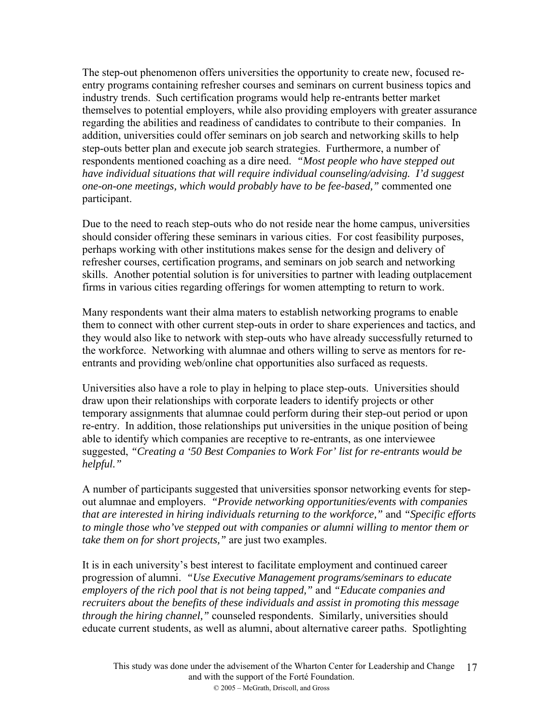The step-out phenomenon offers universities the opportunity to create new, focused reentry programs containing refresher courses and seminars on current business topics and industry trends. Such certification programs would help re-entrants better market themselves to potential employers, while also providing employers with greater assurance regarding the abilities and readiness of candidates to contribute to their companies. In addition, universities could offer seminars on job search and networking skills to help step-outs better plan and execute job search strategies. Furthermore, a number of respondents mentioned coaching as a dire need. *"Most people who have stepped out have individual situations that will require individual counseling/advising. I'd suggest one-on-one meetings, which would probably have to be fee-based,"* commented one participant.

Due to the need to reach step-outs who do not reside near the home campus, universities should consider offering these seminars in various cities. For cost feasibility purposes, perhaps working with other institutions makes sense for the design and delivery of refresher courses, certification programs, and seminars on job search and networking skills. Another potential solution is for universities to partner with leading outplacement firms in various cities regarding offerings for women attempting to return to work.

Many respondents want their alma maters to establish networking programs to enable them to connect with other current step-outs in order to share experiences and tactics, and they would also like to network with step-outs who have already successfully returned to the workforce. Networking with alumnae and others willing to serve as mentors for reentrants and providing web/online chat opportunities also surfaced as requests.

Universities also have a role to play in helping to place step-outs. Universities should draw upon their relationships with corporate leaders to identify projects or other temporary assignments that alumnae could perform during their step-out period or upon re-entry. In addition, those relationships put universities in the unique position of being able to identify which companies are receptive to re-entrants, as one interviewee suggested, *"Creating a '50 Best Companies to Work For' list for re-entrants would be helpful."* 

A number of participants suggested that universities sponsor networking events for stepout alumnae and employers. *"Provide networking opportunities/events with companies that are interested in hiring individuals returning to the workforce,"* and *"Specific efforts to mingle those who've stepped out with companies or alumni willing to mentor them or take them on for short projects,"* are just two examples.

It is in each university's best interest to facilitate employment and continued career progression of alumni. *"Use Executive Management programs/seminars to educate employers of the rich pool that is not being tapped,"* and *"Educate companies and recruiters about the benefits of these individuals and assist in promoting this message through the hiring channel,"* counseled respondents. Similarly, universities should educate current students, as well as alumni, about alternative career paths. Spotlighting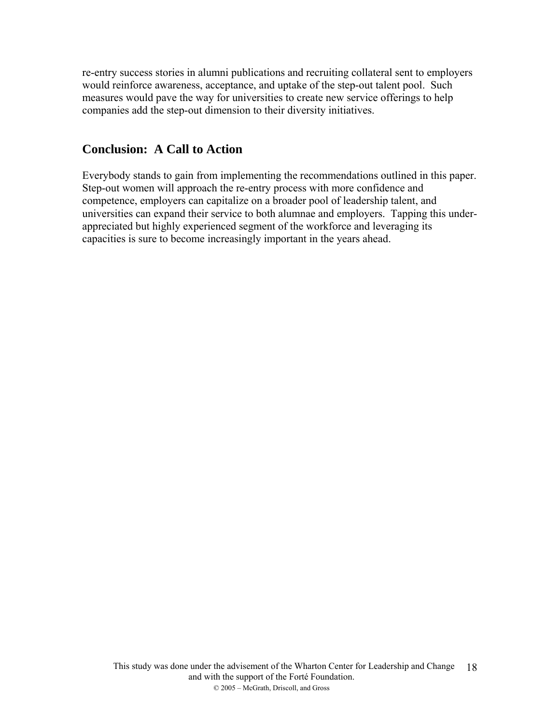re-entry success stories in alumni publications and recruiting collateral sent to employers would reinforce awareness, acceptance, and uptake of the step-out talent pool. Such measures would pave the way for universities to create new service offerings to help companies add the step-out dimension to their diversity initiatives.

# **Conclusion: A Call to Action**

Everybody stands to gain from implementing the recommendations outlined in this paper. Step-out women will approach the re-entry process with more confidence and competence, employers can capitalize on a broader pool of leadership talent, and universities can expand their service to both alumnae and employers. Tapping this underappreciated but highly experienced segment of the workforce and leveraging its capacities is sure to become increasingly important in the years ahead.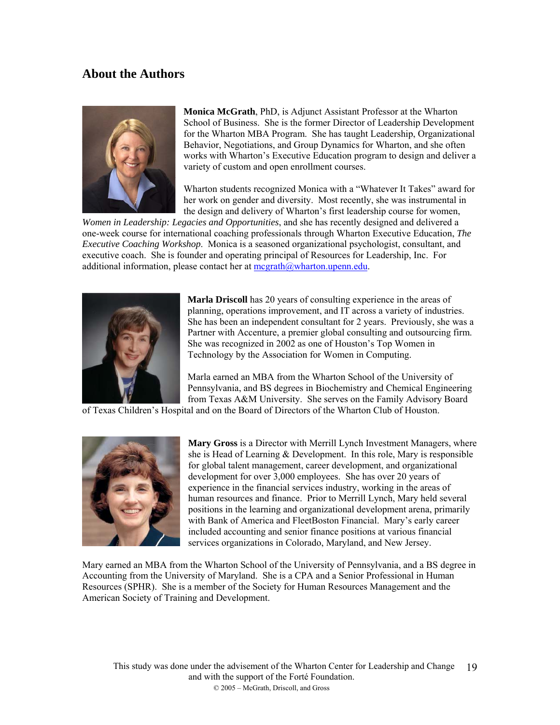# **About the Authors**



**Monica McGrath**, PhD, is Adjunct Assistant Professor at the Wharton School of Business. She is the former Director of Leadership Development for the Wharton MBA Program. She has taught Leadership, Organizational Behavior, Negotiations, and Group Dynamics for Wharton, and she often works with Wharton's Executive Education program to design and deliver a variety of custom and open enrollment courses.

Wharton students recognized Monica with a "Whatever It Takes" award for her work on gender and diversity. Most recently, she was instrumental in the design and delivery of Wharton's first leadership course for women,

*Women in Leadership: Legacies and Opportunities*, and she has recently designed and delivered a one-week course for international coaching professionals through Wharton Executive Education, *The Executive Coaching Workshop*. Monica is a seasoned organizational psychologist, consultant, and executive coach. She is founder and operating principal of Resources for Leadership, Inc. For additional information, please contact her at  $\text{mcgrath}(\partial_t\psi)$  wharton.upenn.edu.



**Marla Driscoll** has 20 years of consulting experience in the areas of planning, operations improvement, and IT across a variety of industries. She has been an independent consultant for 2 years. Previously, she was a Partner with Accenture, a premier global consulting and outsourcing firm. She was recognized in 2002 as one of Houston's Top Women in Technology by the Association for Women in Computing.

Marla earned an MBA from the Wharton School of the University of Pennsylvania, and BS degrees in Biochemistry and Chemical Engineering from Texas A&M University. She serves on the Family Advisory Board

of Texas Children's Hospital and on the Board of Directors of the Wharton Club of Houston.



**ary Gross** is a Director with Merrill Lynch Investment Managers, where **M** she is Head of Learning & Development. In this role, Mary is responsible for global talent management, career development, and organizational development for over 3,000 employees. She has over 20 years of experience in the financial services industry, working in the areas of human resources and finance. Prior to Merrill Lynch, Mary held several positions in the learning and organizational development arena, primarily with Bank of America and FleetBoston Financial. Mary's early career included accounting and senior finance positions at various financial services organizations in Colorado, Maryland, and New Jersey.

Mary earned an MBA from the Wharton School of the University of Pennsylvania, and a BS degree in Accounting from the University of Maryland. She is a CPA and a Senior Professional in Human Resources (SPHR). She is a member of the Society for Human Resources Management and the American Society of Training and Development.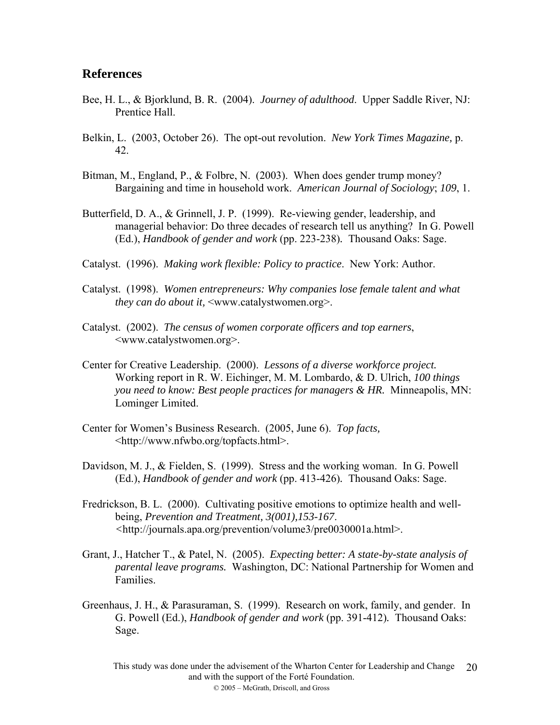### **References**

- Bee, H. L., & Bjorklund, B. R. (2004). *Journey of adulthood*. Upper Saddle River, NJ: Prentice Hall.
- Belkin, L. (2003, October 26). The opt-out revolution. *New York Times Magazine,* p. 42.
- Bitman, M., England, P., & Folbre, N. (2003). When does gender trump money? Bargaining and time in household work. *American Journal of Sociology*; *109*, 1.
- Butterfield, D. A., & Grinnell, J. P. (1999). Re-viewing gender, leadership, and managerial behavior: Do three decades of research tell us anything? In G. Powell (Ed.), *Handbook of gender and work* (pp. 223-238)*.* Thousand Oaks: Sage.
- Catalyst. (1996). *Making work flexible: Policy to practice*. New York: Author.
- Catalyst. (1998). *Women entrepreneurs: Why companies lose female talent and what they can do about it,* <www.catalystwomen.org>.
- Catalyst. (2002). *The census of women corporate officers and top earners*, <www.catalystwomen.org>.
- Center for Creative Leadership. (2000). *Lessons of a diverse workforce project.*  Working report in R. W. Eichinger, M. M. Lombardo, & D. Ulrich, *100 things you need to know: Best people practices for managers & HR.* Minneapolis, MN: Lominger Limited.
- Center for Women's Business Research. (2005, June 6). *Top facts,*  <http://www.nfwbo.org/topfacts.html>.
- Davidson, M. J., & Fielden, S. (1999). Stress and the working woman. In G. Powell (Ed.), *Handbook of gender and work* (pp. 413-426)*.* Thousand Oaks: Sage.
- Fredrickson, B. L. (2000). Cultivating positive emotions to optimize health and wellbeing, *Prevention and Treatment, 3(001),153-167*. *<*http://journals.apa.org/prevention/volume3/pre0030001a.html>.
- Grant, J., Hatcher T., & Patel, N. (2005). *Expecting better: A state-by-state analysis of parental leave programs.* Washington, DC: National Partnership for Women and Families.
- Greenhaus, J. H., & Parasuraman, S. (1999). Research on work, family, and gender. In G. Powell (Ed.), *Handbook of gender and work* (pp. 391-412)*.* Thousand Oaks: Sage.

This study was done under the advisement of the Wharton Center for Leadership and Change 20and with the support of the Forté Foundation. © 2005 – McGrath, Driscoll, and Gross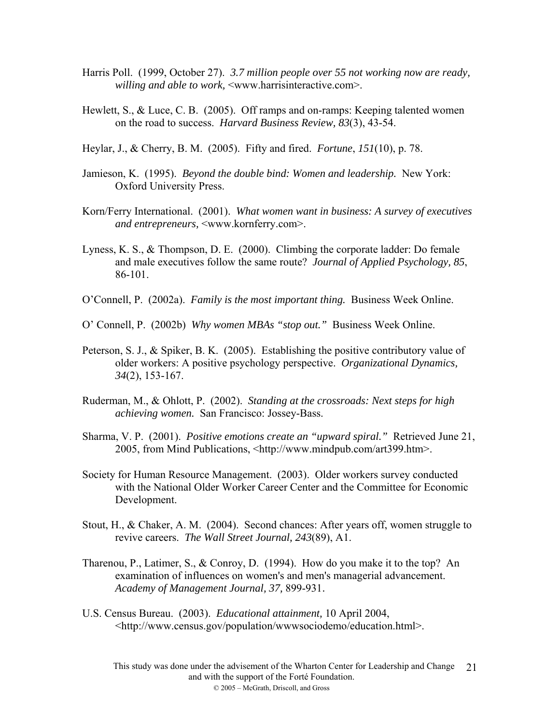- Harris Poll. (1999, October 27). *3.7 million people over 55 not working now are ready, willing and able to work,* <www.harrisinteractive.com>.
- Hewlett, S., & Luce, C. B. (2005). Off ramps and on-ramps: Keeping talented women on the road to success. *Harvard Business Review, 83*(3), 43-54.
- Heylar, J., & Cherry, B. M. (2005). Fifty and fired. *Fortune*, *151*(10), p. 78.
- Jamieson, K. (1995). *Beyond the double bind: Women and leadership.* New York: Oxford University Press.
- Korn/Ferry International. (2001). *What women want in business: A survey of executives and entrepreneurs,* <www.kornferry.com>.
- Lyness, K. S., & Thompson, D. E. (2000). Climbing the corporate ladder: Do female and male executives follow the same route? *Journal of Applied Psychology, 85*, 86-101.
- O'Connell, P. (2002a). *Family is the most important thing.* Business Week Online.
- O' Connell, P. (2002b) *Why women MBAs "stop out."* Business Week Online.
- Peterson, S. J., & Spiker, B. K. (2005). Establishing the positive contributory value of older workers: A positive psychology perspective. *Organizational Dynamics, 34*(2), 153-167.
- Ruderman, M., & Ohlott, P. (2002). *Standing at the crossroads: Next steps for high achieving women.* San Francisco: Jossey-Bass.
- Sharma, V. P. (2001). *Positive emotions create an "upward spiral."* Retrieved June 21, 2005, from Mind Publications, <http://www.mindpub.com/art399.htm>.
- Society for Human Resource Management. (2003). Older workers survey conducted with the National Older Worker Career Center and the Committee for Economic Development.
- Stout, H., & Chaker, A. M. (2004). Second chances: After years off, women struggle to revive careers. *The Wall Street Journal, 243*(89), A1.
- Tharenou, P., Latimer, S., & Conroy, D. (1994). How do you make it to the top? An examination of influences on women's and men's managerial advancement. *Academy of Management Journal, 37,* 899-931.
- U.S. Census Bureau. (2003). *Educational attainment,* 10 April 2004, <http://www.census.gov/population/wwwsociodemo/education.html>.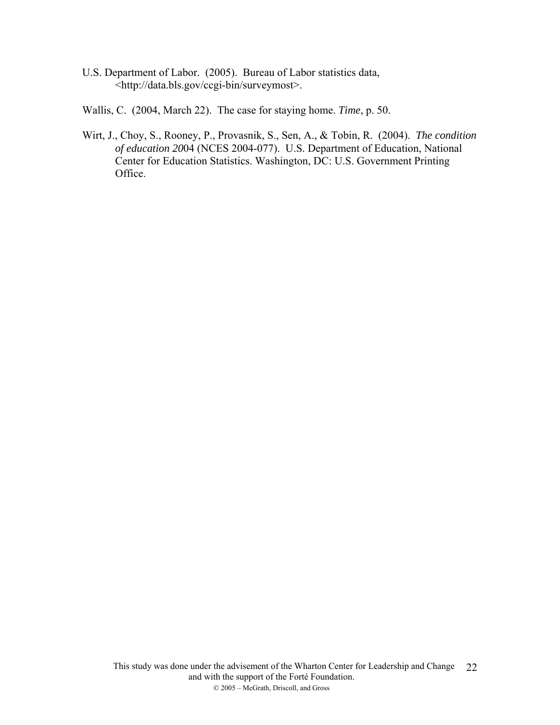- U.S. Department of Labor. (2005). Bureau of Labor statistics data, <http://data.bls.gov/ccgi-bin/surveymost>.
- Wallis, C. (2004, March 22). The case for staying home. *Time*, p. 50.
- Wirt, J., Choy, S., Rooney, P., Provasnik, S., Sen, A., & Tobin, R. (2004). *The condition of education 20*04 (NCES 2004-077). U.S. Department of Education, National Center for Education Statistics. Washington, DC: U.S. Government Printing Office.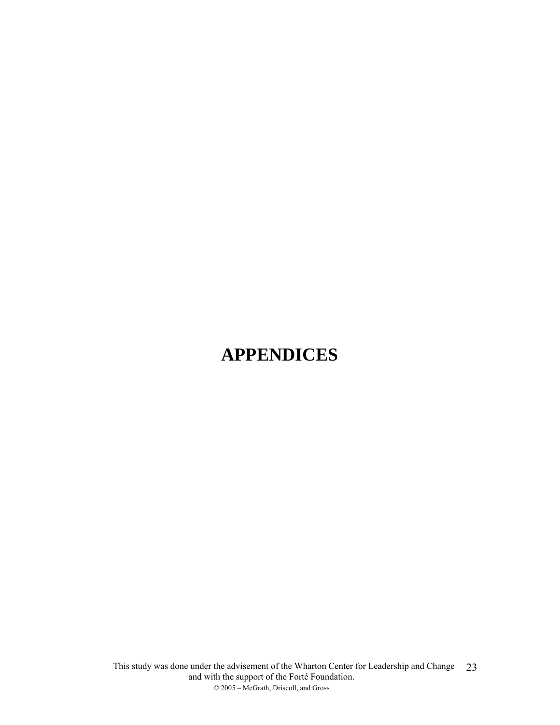# **APPENDICES**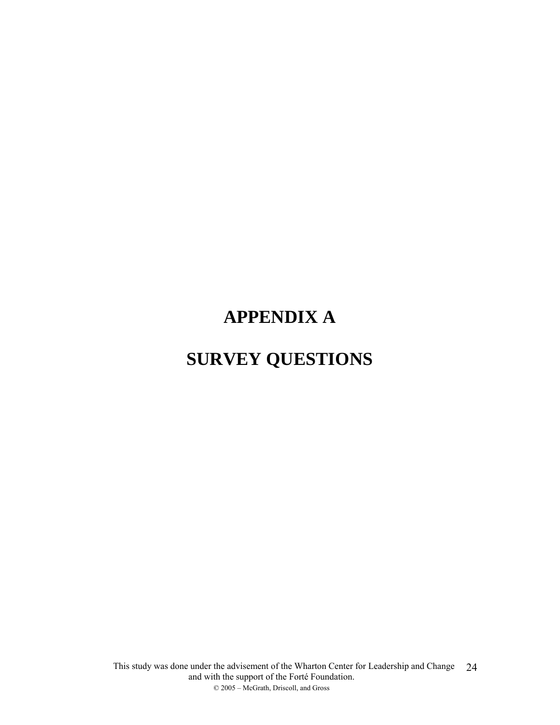# **APPENDIX A**

# **SURVEY QUESTIONS**

This study was done under the advisement of the Wharton Center for Leadership and Change and with the support of the Forté Foundation. © 2005 – McGrath, Driscoll, and Gross 24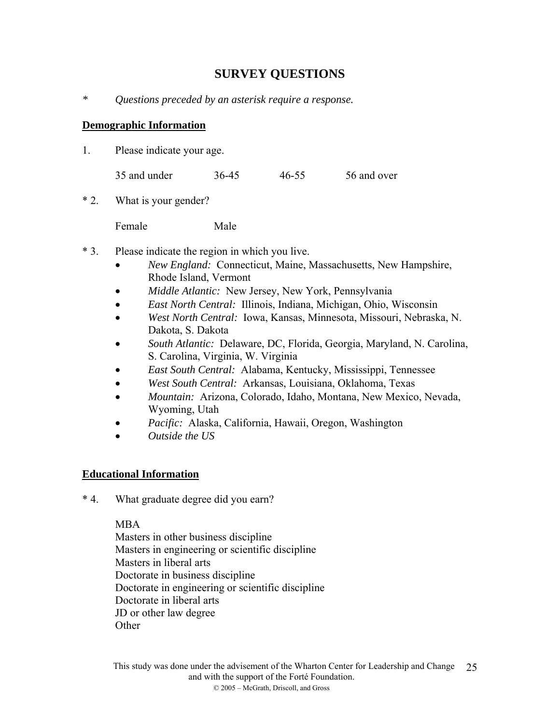# **SURVEY QUESTIONS**

*\* Questions preceded by an asterisk require a response.* 

### **Demographic Information**

1. Please indicate your age.

| 35 and under | 36-45 | 46-55 | 56 and over |
|--------------|-------|-------|-------------|
|--------------|-------|-------|-------------|

\* 2. What is your gender?

Female Male

- \* 3. Please indicate the region in which you live.
	- *New England:* Connecticut, Maine, Massachusetts, New Hampshire, Rhode Island, Vermont
	- *Middle Atlantic:* New Jersey, New York, Pennsylvania
	- *East North Central:* Illinois, Indiana, Michigan, Ohio, Wisconsin
	- *West North Central:* Iowa, Kansas, Minnesota, Missouri, Nebraska, N. Dakota, S. Dakota
	- *South Atlantic:* Delaware, DC, Florida, Georgia, Maryland, N. Carolina, S. Carolina, Virginia, W. Virginia
	- *East South Central:* Alabama, Kentucky, Mississippi, Tennessee
	- *West South Central:* Arkansas, Louisiana, Oklahoma, Texas
	- *Mountain:* Arizona, Colorado, Idaho, Montana, New Mexico, Nevada, Wyoming, Utah
	- *Pacific:* Alaska, California, Hawaii, Oregon, Washington
	- *Outside the US*

#### **Educational Information**

\* 4. What graduate degree did you earn?

#### MBA

Masters in other business discipline Masters in engineering or scientific discipline Masters in liberal arts Doctorate in business discipline Doctorate in engineering or scientific discipline Doctorate in liberal arts JD or other law degree **Other**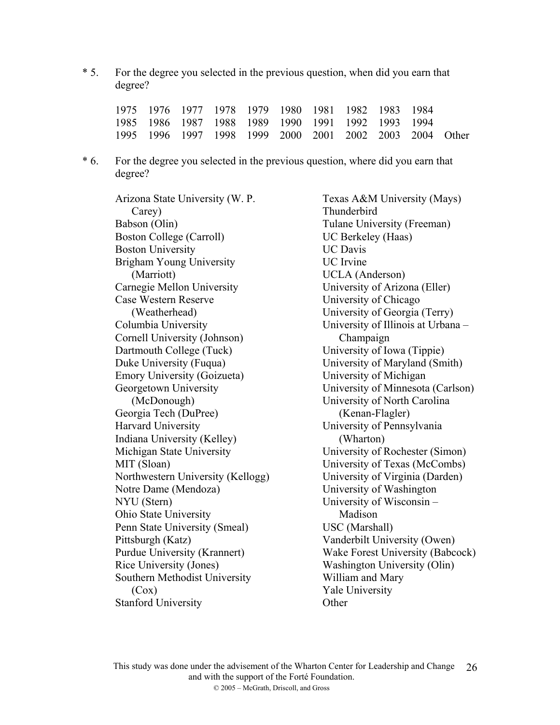\* 5. For the degree you selected in the previous question, when did you earn that degree?

|  |  |  | 1975 1976 1977 1978 1979 1980 1981 1982 1983 1984       |  |  |
|--|--|--|---------------------------------------------------------|--|--|
|  |  |  | 1985 1986 1987 1988 1989 1990 1991 1992 1993 1994       |  |  |
|  |  |  | 1995 1996 1997 1998 1999 2000 2001 2002 2003 2004 Other |  |  |

\* 6. For the degree you selected in the previous question, where did you earn that degree?

Arizona State University (W. P. Carey) Babson (Olin) Boston College (Carroll) Boston University Brigham Young University (Marriott) Carnegie Mellon University Case Western Reserve (Weatherhead) Columbia University Cornell University (Johnson) Dartmouth College (Tuck) Duke University (Fuqua) Emory University (Goizueta) Georgetown University (McDonough) Georgia Tech (DuPree) Harvard University Indiana University (Kelley) Michigan State University MIT (Sloan) Northwestern University (Kellogg) Notre Dame (Mendoza) NYU (Stern) Ohio State University Penn State University (Smeal) Pittsburgh (Katz) Purdue University (Krannert) Rice University (Jones) Southern Methodist University  $(Cox)$ Stanford University

Texas A&M University (Mays) Thunderbird Tulane University (Freeman) UC Berkeley (Haas) UC Davis UC Irvine UCLA (Anderson) University of Arizona (Eller) University of Chicago University of Georgia (Terry) University of Illinois at Urbana – Champaign University of Iowa (Tippie) University of Maryland (Smith) University of Michigan University of Minnesota (Carlson) University of North Carolina (Kenan-Flagler) University of Pennsylvania (Wharton) University of Rochester (Simon) University of Texas (McCombs) University of Virginia (Darden) University of Washington University of Wisconsin – Madison USC (Marshall) Vanderbilt University (Owen) Wake Forest University (Babcock) Washington University (Olin) William and Mary Yale University **Other**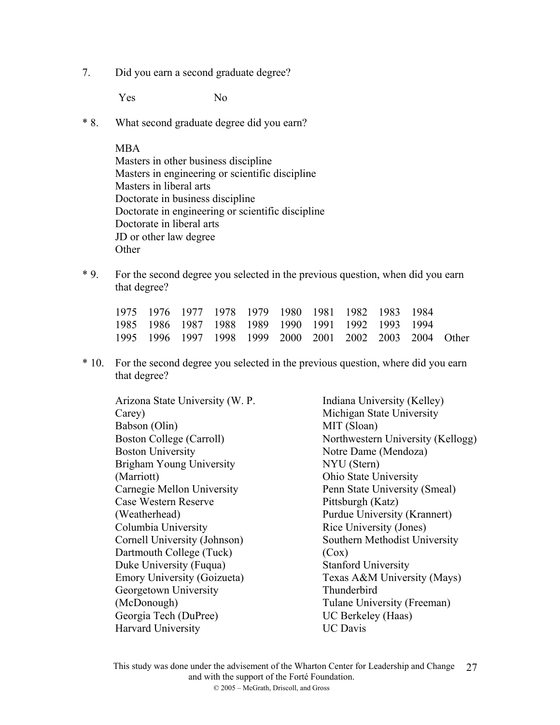7. Did you earn a second graduate degree?

Yes No

\* 8. What second graduate degree did you earn?

#### MBA

- Masters in other business discipline Masters in engineering or scientific discipline Masters in liberal arts Doctorate in business discipline Doctorate in engineering or scientific discipline Doctorate in liberal arts JD or other law degree **Other**
- \* 9. For the second degree you selected in the previous question, when did you earn that degree?

|  |  |  | 1975 1976 1977 1978 1979 1980 1981 1982 1983 1984 |                                                         |  |
|--|--|--|---------------------------------------------------|---------------------------------------------------------|--|
|  |  |  | 1985 1986 1987 1988 1989 1990 1991 1992 1993 1994 |                                                         |  |
|  |  |  |                                                   | 1995 1996 1997 1998 1999 2000 2001 2002 2003 2004 Other |  |

\* 10. For the second degree you selected in the previous question, where did you earn that degree?

Arizona State University (W. P. Carey) Babson (Olin) Boston College (Carroll) Boston University Brigham Young University (Marriott) Carnegie Mellon University Case Western Reserve (Weatherhead) Columbia University Cornell University (Johnson) Dartmouth College (Tuck) Duke University (Fuqua) Emory University (Goizueta) Georgetown University (McDonough) Georgia Tech (DuPree) Harvard University

Indiana University (Kelley) Michigan State University MIT (Sloan) Northwestern University (Kellogg) Notre Dame (Mendoza) NYU (Stern) Ohio State University Penn State University (Smeal) Pittsburgh (Katz) Purdue University (Krannert) Rice University (Jones) Southern Methodist University (Cox) Stanford University Texas A&M University (Mays) Thunderbird Tulane University (Freeman) UC Berkeley (Haas) UC Davis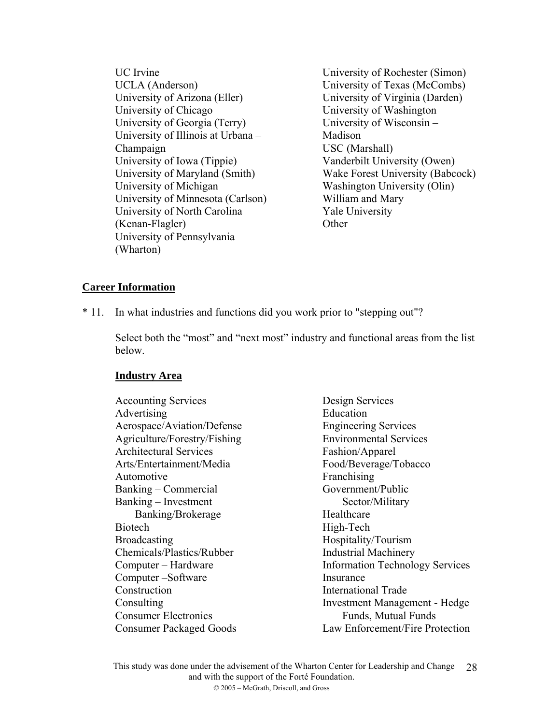UC Irvine UCLA (Anderson) University of Arizona (Eller) University of Chicago University of Georgia (Terry) University of Illinois at Urbana – Champaign University of Iowa (Tippie) University of Maryland (Smith) University of Michigan University of Minnesota (Carlson) University of North Carolina (Kenan-Flagler) University of Pennsylvania (Wharton)

University of Rochester (Simon) University of Texas (McCombs) University of Virginia (Darden) University of Washington University of Wisconsin – Madison USC (Marshall) Vanderbilt University (Owen) Wake Forest University (Babcock) Washington University (Olin) William and Mary Yale University **Other** 

### **Career Information**

\* 11. In what industries and functions did you work prior to "stepping out"?

Select both the "most" and "next most" industry and functional areas from the list below.

#### **Industry Area**

Accounting Services Advertising Aerospace/Aviation/Defense Agriculture/Forestry/Fishing Architectural Services Arts/Entertainment/Media Automotive Banking – Commercial Banking – Investment Banking/Brokerage **Biotech** Broadcasting Chemicals/Plastics/Rubber Computer – Hardware Computer –Software Construction **Consulting** Consumer Electronics Consumer Packaged Goods

Design Services Education Engineering Services Environmental Services Fashion/Apparel Food/Beverage/Tobacco Franchising Government/Public Sector/Military Healthcare High-Tech Hospitality/Tourism Industrial Machinery Information Technology Services Insurance International Trade Investment Management - Hedge Funds, Mutual Funds Law Enforcement/Fire Protection

This study was done under the advisement of the Wharton Center for Leadership and Change and with the support of the Forté Foundation. © 2005 – McGrath, Driscoll, and Gross 28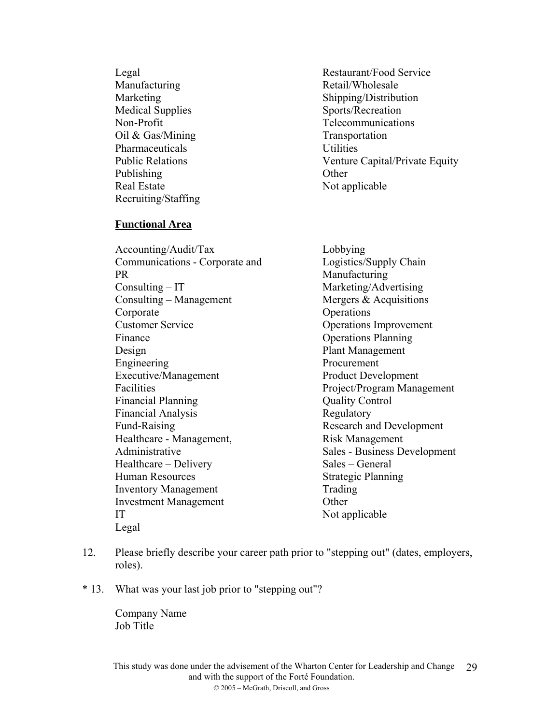Legal **Manufacturing** Marketing Medical Supplies Non-Profit Oil & Gas/Mining Pharmaceuticals Public Relations Publishing Real Estate Recruiting/Staffing

#### **Functional Area**

Accounting/Audit/Tax Communications - Corporate and PR Consulting – IT Consulting – Management Corporate Customer Service Finance Design Engineering Executive/Management Facilities Financial Planning Financial Analysis Fund-Raising Healthcare - Management, Administrative Healthcare – Delivery Human Resources Inventory Management Investment Management IT Legal

Restaurant/Food Service Retail/Wholesale Shipping/Distribution Sports/Recreation Telecommunications Transportation Utilities Venture Capital/Private Equity **Other** Not applicable

Lobbying Logistics/Supply Chain **Manufacturing** Marketing/Advertising Mergers & Acquisitions **Operations** Operations Improvement Operations Planning Plant Management Procurement Product Development Project/Program Management Quality Control Regulatory Research and Development Risk Management Sales - Business Development Sales – General Strategic Planning Trading **Other** Not applicable

- 12. Please briefly describe your career path prior to "stepping out" (dates, employers, roles).
- \* 13. What was your last job prior to "stepping out"?

Company Name Job Title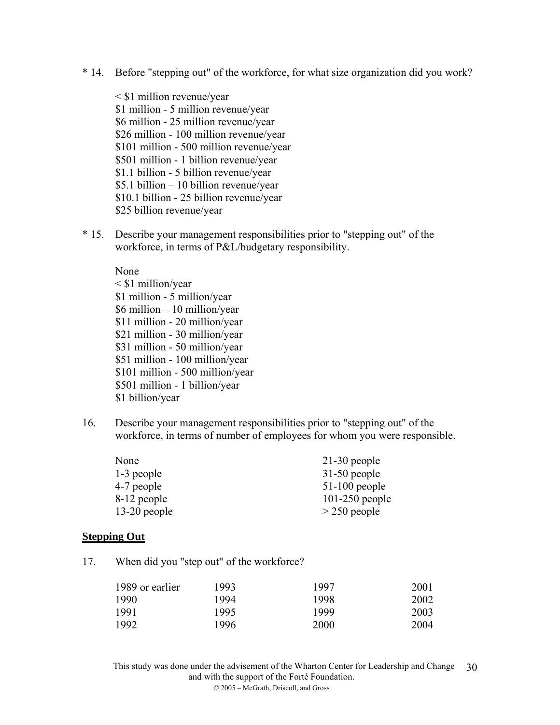- \* 14. Before "stepping out" of the workforce, for what size organization did you work?
	- < \$1 million revenue/year \$1 million - 5 million revenue/year \$6 million - 25 million revenue/year \$26 million - 100 million revenue/year \$101 million - 500 million revenue/year \$501 million - 1 billion revenue/year \$1.1 billion - 5 billion revenue/year \$5.1 billion – 10 billion revenue/year \$10.1 billion - 25 billion revenue/year \$25 billion revenue/year
- \* 15. Describe your management responsibilities prior to "stepping out" of the workforce, in terms of P&L/budgetary responsibility.

None < \$1 million/year \$1 million - 5 million/year \$6 million – 10 million/year \$11 million - 20 million/year \$21 million - 30 million/year \$31 million - 50 million/year \$51 million - 100 million/year \$101 million - 500 million/year \$501 million - 1 billion/year \$1 billion/year

16. Describe your management responsibilities prior to "stepping out" of the workforce, in terms of number of employees for whom you were responsible.

| None           | $21-30$ people   |
|----------------|------------------|
| 1-3 people     | $31-50$ people   |
| 4-7 people     | $51-100$ people  |
| 8-12 people    | $101-250$ people |
| $13-20$ people | $>$ 250 people   |

#### **Stepping Out**

17. When did you "step out" of the workforce?

| 1989 or earlier | 1993 | 1997 | 2001 |
|-----------------|------|------|------|
| 1990            | 1994 | 1998 | 2002 |
| 1991            | 1995 | 1999 | 2003 |
| 1992            | 1996 | 2000 | 2004 |

This study was done under the advisement of the Wharton Center for Leadership and Change and with the support of the Forté Foundation. © 2005 – McGrath, Driscoll, and Gross 30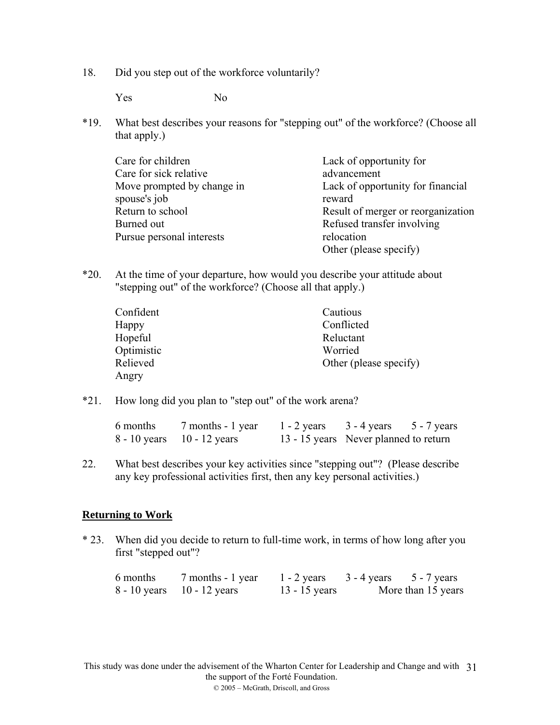18. Did you step out of the workforce voluntarily?

Yes No

\*19. What best describes your reasons for "stepping out" of the workforce? (Choose all that apply.)

| Care for children          | Lack of opportunity for            |
|----------------------------|------------------------------------|
| Care for sick relative     | advancement                        |
| Move prompted by change in | Lack of opportunity for financial  |
| spouse's job               | reward                             |
| Return to school           | Result of merger or reorganization |
| Burned out                 | Refused transfer involving         |
| Pursue personal interests  | relocation                         |
|                            | Other (please specify)             |

\*20. At the time of your departure, how would you describe your attitude about "stepping out" of the workforce? (Choose all that apply.)

| Confident  | Cautious               |
|------------|------------------------|
| Happy      | Conflicted             |
| Hopeful    | Reluctant              |
| Optimistic | Worried                |
| Relieved   | Other (please specify) |
| Angry      |                        |

\*21. How long did you plan to "step out" of the work arena?

| 6 months | 7 months - 1 year              | $1 - 2$ years | $3 - 4$ years $5 - 7$ years           |  |
|----------|--------------------------------|---------------|---------------------------------------|--|
|          | $8 - 10$ years $10 - 12$ years |               | 13 - 15 years Never planned to return |  |

22. What best describes your key activities since "stepping out"? (Please describe any key professional activities first, then any key personal activities.)

#### **Returning to Work**

\* 23. When did you decide to return to full-time work, in terms of how long after you first "stepped out"?

| 6 months | 7 months - 1 year              | $1 - 2$ years   | $3 - 4$ years | $5 - 7$ years      |
|----------|--------------------------------|-----------------|---------------|--------------------|
|          | $8 - 10$ years $10 - 12$ years | $13 - 15$ years |               | More than 15 years |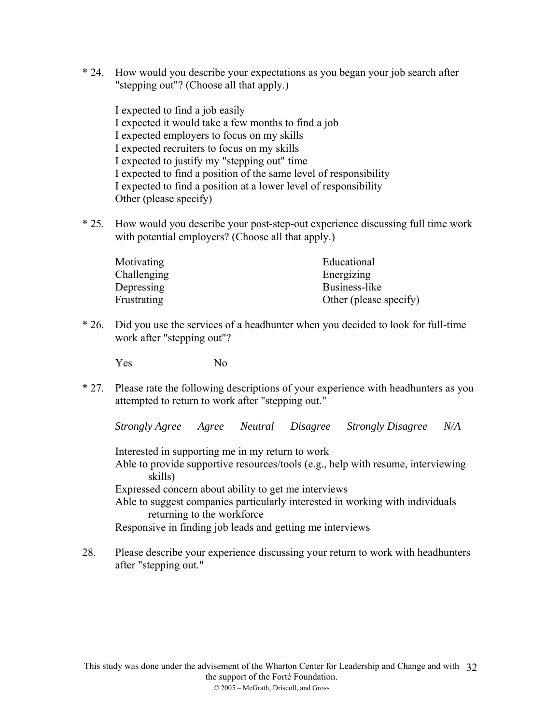\* 24. How would you describe your expectations as you began your job search after "stepping out"? (Choose all that apply.)

I expected to find a job easily I expected it would take a few months to find a job I expected employers to focus on my skills I expected recruiters to focus on my skills I expected to justify my "stepping out" time I expected to find a position of the same level of responsibility I expected to find a position at a lower level of responsibility Other (please specify)

\* 25. How would you describe your post-step-out experience discussing full time work with potential employers? (Choose all that apply.)

| Motivating  | Educational            |
|-------------|------------------------|
| Challenging | Energizing             |
| Depressing  | Business-like          |
| Frustrating | Other (please specify) |

\* 26. Did you use the services of a headhunter when you decided to look for full-time work after "stepping out"?

Yes No

\* 27. Please rate the following descriptions of your experience with headhunters as you attempted to return to work after "stepping out."

*Strongly Agree Agree Neutral Disagree Strongly Disagree N/A* 

Interested in supporting me in my return to work

Able to provide supportive resources/tools (e.g., help with resume, interviewing skills)

Expressed concern about ability to get me interviews

Able to suggest companies particularly interested in working with individuals returning to the workforce

Responsive in finding job leads and getting me interviews

28. Please describe your experience discussing your return to work with headhunters after "stepping out."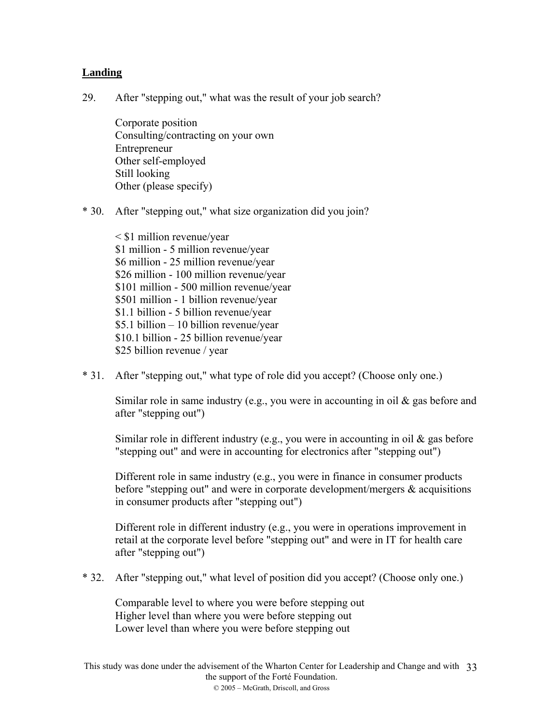# **Landing**

29. After "stepping out," what was the result of your job search?

Corporate position Consulting/contracting on your own Entrepreneur Other self-employed Still looking Other (please specify)

\* 30. After "stepping out," what size organization did you join?

< \$1 million revenue/year \$1 million - 5 million revenue/year \$6 million - 25 million revenue/year \$26 million - 100 million revenue/year \$101 million - 500 million revenue/year \$501 million - 1 billion revenue/year \$1.1 billion - 5 billion revenue/year \$5.1 billion – 10 billion revenue/year \$10.1 billion - 25 billion revenue/year \$25 billion revenue / year

\* 31. After "stepping out," what type of role did you accept? (Choose only one.)

Similar role in same industry (e.g., you were in accounting in oil & gas before and after "stepping out")

Similar role in different industry (e.g., you were in accounting in oil  $\&$  gas before "stepping out" and were in accounting for electronics after "stepping out")

Different role in same industry (e.g., you were in finance in consumer products before "stepping out" and were in corporate development/mergers & acquisitions in consumer products after "stepping out")

Different role in different industry (e.g., you were in operations improvement in retail at the corporate level before "stepping out" and were in IT for health care after "stepping out")

\* 32. After "stepping out," what level of position did you accept? (Choose only one.)

Comparable level to where you were before stepping out Higher level than where you were before stepping out Lower level than where you were before stepping out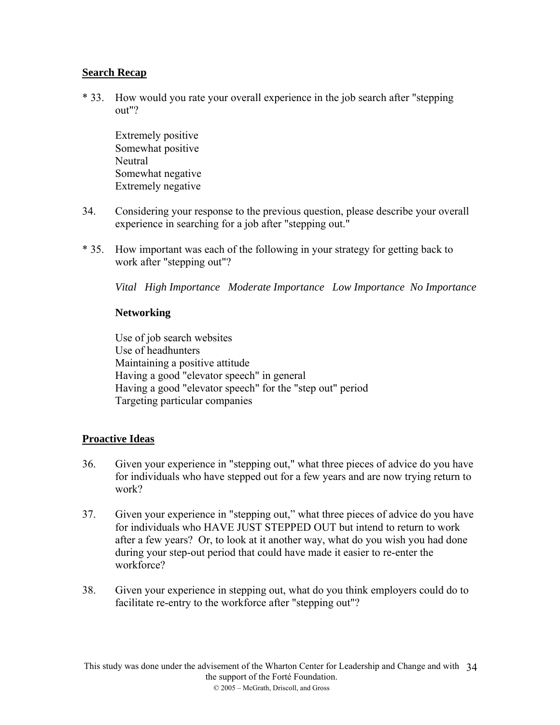# **Search Recap**

\* 33. How would you rate your overall experience in the job search after "stepping out"?

Extremely positive Somewhat positive **Neutral** Somewhat negative Extremely negative

- 34. Considering your response to the previous question, please describe your overall experience in searching for a job after "stepping out."
- \* 35. How important was each of the following in your strategy for getting back to work after "stepping out"?

*Vital High Importance Moderate Importance Low Importance No Importance* 

### **Networking**

Use of job search websites Use of headhunters Maintaining a positive attitude Having a good "elevator speech" in general Having a good "elevator speech" for the "step out" period Targeting particular companies

# **Proactive Ideas**

- 36. Given your experience in "stepping out," what three pieces of advice do you have for individuals who have stepped out for a few years and are now trying return to work?
- 37. Given your experience in "stepping out," what three pieces of advice do you have for individuals who HAVE JUST STEPPED OUT but intend to return to work after a few years? Or, to look at it another way, what do you wish you had done during your step-out period that could have made it easier to re-enter the workforce?
- 38. Given your experience in stepping out, what do you think employers could do to facilitate re-entry to the workforce after "stepping out"?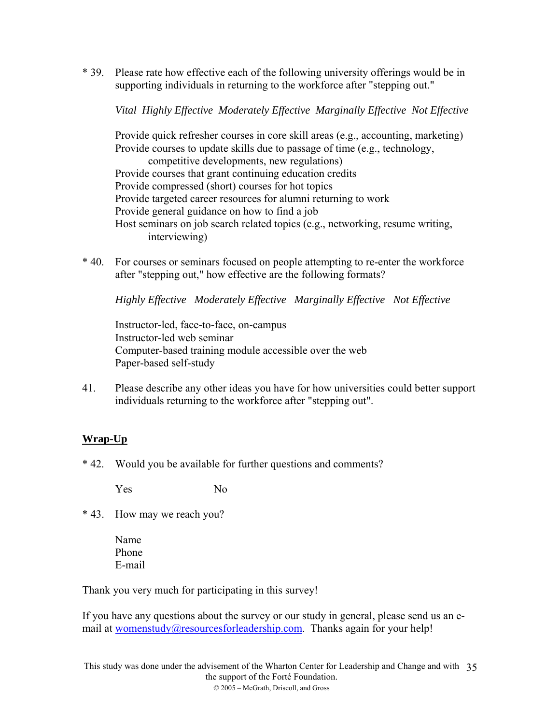\* 39. Please rate how effective each of the following university offerings would be in supporting individuals in returning to the workforce after "stepping out."

*Vital Highly Effective Moderately Effective Marginally Effective Not Effective* 

Provide quick refresher courses in core skill areas (e.g., accounting, marketing) Provide courses to update skills due to passage of time (e.g., technology, competitive developments, new regulations) Provide courses that grant continuing education credits Provide compressed (short) courses for hot topics Provide targeted career resources for alumni returning to work Provide general guidance on how to find a job Host seminars on job search related topics (e.g., networking, resume writing, interviewing)

\* 40. For courses or seminars focused on people attempting to re-enter the workforce after "stepping out," how effective are the following formats?

*Highly Effective Moderately Effective Marginally Effective Not Effective* 

Instructor-led, face-to-face, on-campus Instructor-led web seminar Computer-based training module accessible over the web Paper-based self-study

41. Please describe any other ideas you have for how universities could better support individuals returning to the workforce after "stepping out".

# **Wrap-Up**

\* 42. Would you be available for further questions and comments?

Yes No

- \* 43. How may we reach you?
	- Name Phone E-mail

Thank you very much for participating in this survey!

If you have any questions about the survey or our study in general, please send us an email at [womenstudy@resourcesforleadership.com.](mailto:womenstudy@resourcesforleadership.com) Thanks again for your help!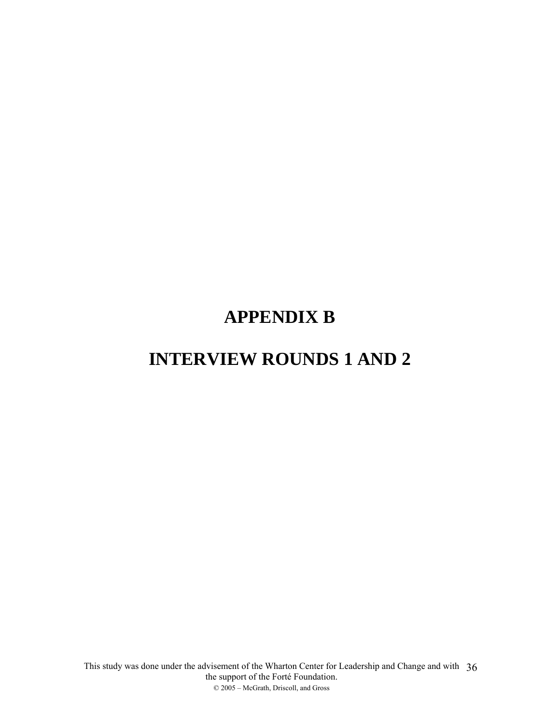# **APPENDIX B**

# **INTERVIEW ROUNDS 1 AND 2**

This study was done under the advisement of the Wharton Center for Leadership and Change and with the support of the Forté Foundation. © 2005 – McGrath, Driscoll, and Gross 36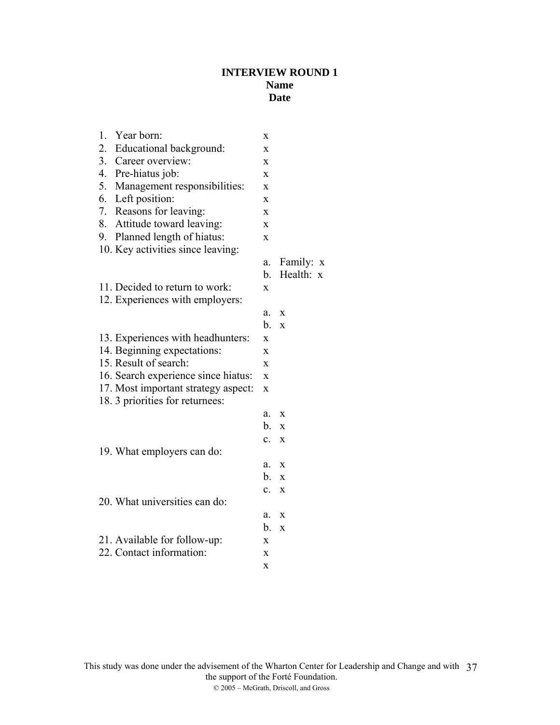# **INTERVIEW ROUND 1 Name Date**

|    | 1. Year born:                       | X              |              |
|----|-------------------------------------|----------------|--------------|
|    | 2. Educational background:          | $\mathbf x$    |              |
|    | 3. Career overview:                 | $\mathbf{x}$   |              |
|    | 4. Pre-hiatus job:                  | $\mathbf{x}$   |              |
| 5. | Management responsibilities:        | X              |              |
|    | 6. Left position:                   | X              |              |
| 7. | Reasons for leaving:                | X              |              |
| 8. | Attitude toward leaving:            | X              |              |
| 9. | Planned length of hiatus:           | X              |              |
|    | 10. Key activities since leaving:   |                |              |
|    |                                     | a.             | Family: x    |
|    |                                     | $b_{-}$        | Health: x    |
|    | 11. Decided to return to work:      | X              |              |
|    | 12. Experiences with employers:     |                |              |
|    |                                     | a.             | X            |
|    |                                     | $b_{\cdot}$    | $\mathbf{x}$ |
|    | 13. Experiences with headhunters:   | X              |              |
|    | 14. Beginning expectations:         | $\mathbf{x}$   |              |
|    | 15. Result of search:               | $\mathbf{x}$   |              |
|    | 16. Search experience since hiatus: | $\mathbf{x}$   |              |
|    | 17. Most important strategy aspect: | X              |              |
|    | 18. 3 priorities for returnees:     |                |              |
|    |                                     | a.             | X            |
|    |                                     | b.             | X            |
|    |                                     | $\mathbf{c}$ . | X            |
|    | 19. What employers can do:          |                |              |
|    |                                     | a.             | X            |
|    |                                     | b.             | $\mathbf{x}$ |
|    |                                     | $\mathbf{c}$ . | X            |
|    | 20. What universities can do:       |                |              |
|    |                                     | a.             | X            |
|    |                                     | b.             | $\mathbf{x}$ |
|    | 21. Available for follow-up:        | X              |              |
|    | 22. Contact information:            | X              |              |
|    |                                     | X              |              |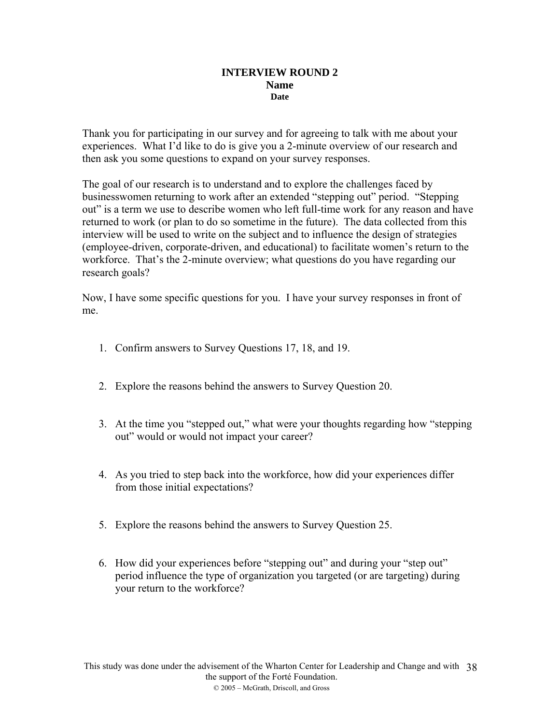#### **INTERVIEW ROUND 2 Name Date**

Thank you for participating in our survey and for agreeing to talk with me about your experiences. What I'd like to do is give you a 2-minute overview of our research and then ask you some questions to expand on your survey responses.

The goal of our research is to understand and to explore the challenges faced by businesswomen returning to work after an extended "stepping out" period. "Stepping out" is a term we use to describe women who left full-time work for any reason and have returned to work (or plan to do so sometime in the future). The data collected from this interview will be used to write on the subject and to influence the design of strategies (employee-driven, corporate-driven, and educational) to facilitate women's return to the workforce. That's the 2-minute overview; what questions do you have regarding our research goals?

Now, I have some specific questions for you. I have your survey responses in front of me.

- 1. Confirm answers to Survey Questions 17, 18, and 19.
- 2. Explore the reasons behind the answers to Survey Question 20.
- 3. At the time you "stepped out," what were your thoughts regarding how "stepping out" would or would not impact your career?
- 4. As you tried to step back into the workforce, how did your experiences differ from those initial expectations?
- 5. Explore the reasons behind the answers to Survey Question 25.
- 6. How did your experiences before "stepping out" and during your "step out" period influence the type of organization you targeted (or are targeting) during your return to the workforce?